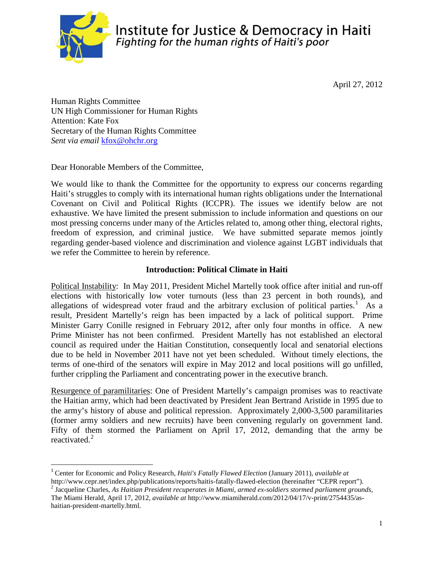

Institute for Justice & Democracy in Haiti Fighting for the human rights of Haiti's poor

April 27, 2012

Human Rights Committee UN High Commissioner for Human Rights Attention: Kate Fox Secretary of the Human Rights Committee *Sent via email* [kfox@ohchr.org](mailto:kfox@ohchr.org)

Dear Honorable Members of the Committee,

We would like to thank the Committee for the opportunity to express our concerns regarding Haiti's struggles to comply with its international human rights obligations under the International Covenant on Civil and Political Rights (ICCPR). The issues we identify below are not exhaustive. We have limited the present submission to include information and questions on our most pressing concerns under many of the Articles related to, among other thing, electoral rights, freedom of expression, and criminal justice. We have submitted separate memos jointly regarding gender-based violence and discrimination and violence against LGBT individuals that we refer the Committee to herein by reference.

#### **Introduction: Political Climate in Haiti**

Political Instability: In May 2011, President Michel Martelly took office after initial and run-off elections with historically low voter turnouts (less than 23 percent in both rounds), and allegations of widespread voter fraud and the arbitrary exclusion of political parties.<sup>[1](#page-19-0)</sup> As a result, President Martelly's reign has been impacted by a lack of political support. Prime Minister Garry Conille resigned in February 2012, after only four months in office. A new Prime Minister has not been confirmed. President Martelly has not established an electoral council as required under the Haitian Constitution, consequently local and senatorial elections due to be held in November 2011 have not yet been scheduled. Without timely elections, the terms of one-third of the senators will expire in May 2012 and local positions will go unfilled, further crippling the Parliament and concentrating power in the executive branch.

<span id="page-0-1"></span>Resurgence of paramilitaries: One of President Martelly's campaign promises was to reactivate the Haitian army, which had been deactivated by President Jean Bertrand Aristide in 1995 due to the army's history of abuse and political repression. Approximately 2,000-3,500 paramilitaries (former army soldiers and new recruits) have been convening regularly on government land. Fifty of them stormed the Parliament on April 17, 2012, demanding that the army be reactivated. [2](#page-0-0)

<sup>1</sup> Center for Economic and Policy Research, *Haiti's Fatally Flawed Election* (January 2011), *available at* 

<span id="page-0-0"></span>http://www.cepr.net/index.php/publications/reports/haitis-fatally-flawed-election (hereinafter "CEPR report").<br><sup>2</sup> Jacqueline Charles, As Haitian President recuperates in Miami, armed ex-soldiers stormed parliament grounds The Miami Herald, April 17, 2012, *available at* http://www.miamiherald.com/2012/04/17/v-print/2754435/ashaitian-president-martelly.html.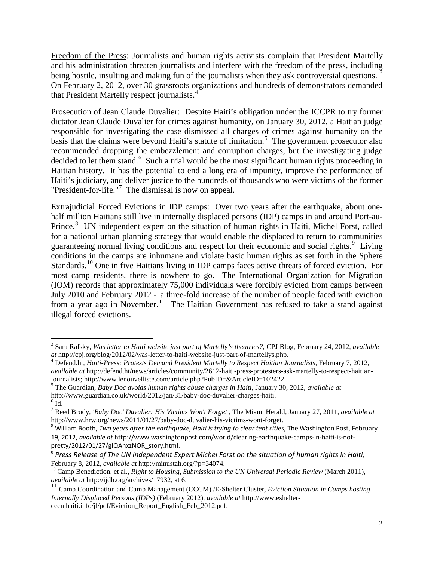Freedom of the Press: Journalists and human rights activists complain that President Martelly and his administration threaten journalists and interfere with the freedom of the press, including being hostile, insulting and making fun of the journalists when they ask controversial questions. On February 2, 2012, over 30 grassroots organizations and hundreds of demonstrators demanded that President Martelly respect journalists. [4](#page-1-0)

Prosecution of Jean Claude Duvalier: Despite Haiti's obligation under the ICCPR to try former dictator Jean Claude Duvalier for crimes against humanity, on January 30, 2012, a Haitian judge responsible for investigating the case dismissed all charges of crimes against humanity on the basis that the claims were beyond Haiti's statute of limitation. [5](#page-1-1) The government prosecutor also recommended dropping the embezzlement and corruption charges, but the investigating judge decided to let them stand.<sup>[6](#page-1-2)</sup> Such a trial would be the most significant human rights proceeding in Haitian history. It has the potential to end a long era of impunity, improve the performance of Haiti's judiciary, and deliver justice to the hundreds of thousands who were victims of the former "President-for-life."<sup>[7](#page-1-3)</sup> The dismissal is now on appeal.

Extrajudicial Forced Evictions in IDP camps: Over two years after the earthquake, about onehalf million Haitians still live in internally displaced persons (IDP) camps in and around Port-au-Prince.<sup>[8](#page-1-4)</sup> UN independent expert on the situation of human rights in Haiti, Michel Forst, called for a national urban planning strategy that would enable the displaced to return to communities guaranteeing normal living conditions and respect for their economic and social rights.<sup>[9](#page-1-5)</sup> Living conditions in the camps are inhumane and violate basic human rights as set forth in the Sphere Standards.<sup>[10](#page-1-6)</sup> One in five Haitians living in IDP camps faces active threats of forced eviction. For most camp residents, there is nowhere to go. The International Organization for Migration (IOM) records that approximately 75,000 individuals were forcibly evicted from camps between July 2010 and February 2012 - a three-fold increase of the number of people faced with eviction from a year ago in November.<sup>[11](#page-1-7)</sup> The Haitian Government has refused to take a stand against illegal forced evictions.

 <sup>3</sup> Sara Rafsky, *Was letter to Haiti website just part of Martelly's theatrics?*, CPJ Blog, February 24, 2012, *available* 

<span id="page-1-0"></span><sup>&</sup>lt;sup>4</sup> Defend.ht, *Haiti-Press: Protests Demand President Martelly to Respect Haitian Journalists*, February 7, 2012, *available at* [http://defend.ht/news/articles/community/2612-haiti-press-protesters-ask-martelly-to-respect-haitian](http://defend.ht/news/articles/community/2612-haiti-press-protesters-ask-martelly-to-respect-haitian-journalists)[journalists;](http://defend.ht/news/articles/community/2612-haiti-press-protesters-ask-martelly-to-respect-haitian-journalists) http://www.lenouvelliste.com/article.php?PubID=&ArticleID=102422. <sup>5</sup> The Guardian, *Baby Doc avoids human rights abuse charges in Haiti*, January 30, 2012, *available at*

<span id="page-1-1"></span><sup>&</sup>lt;code>http://www.guardian.co.uk/world/2012/jan/31/baby-doc-duvalier-charges-haiti. $^{\rm 6}$ Id.</code>

<span id="page-1-3"></span><span id="page-1-2"></span><sup>7</sup> Reed Brody, *['Baby Doc' Duvalier: His Victims Won't Forget](http://www.hrw.org/news/2011/01/27/baby-doc-duvalier-his-victims-wont-forget)* , The Miami Herald, January 27, 2011, *available at*  [http://www.hrw.org/news/2011/01/27/baby-doc-duvalier-his-victims-wont-forget.](http://www.hrw.org/news/2011/01/27/baby-doc-duvalier-his-victims-wont-forget)<br><sup>8</sup> William Booth, *Two years after the earthquake, Haiti is trying to clear tent cities, The Washington Post, February* 

<span id="page-1-4"></span><sup>19, 2012,</sup> *available at* http://www.washingtonpost.com/world/clearing-earthquake-camps-in-haiti-is-notpretty/2012/01/27/gIQAnxzNOR\_story.html.

<span id="page-1-8"></span><span id="page-1-5"></span><sup>9</sup> *Press Release of The UN Independent Expert Michel Forst on the situation of human rights in Haiti*,

<span id="page-1-6"></span>February 8, 2012, *available at* http://minustah.org/?p=34074.<br><sup>10</sup> Camp Benediction, et al., *Right to Housing, Submission to the UN Universal Periodic Review* (March 2011), *available at* http://ijdh.org/archives/17932,

<span id="page-1-7"></span><sup>&</sup>lt;sup>11</sup> Camp Coordination and Camp Management (CCCM) /E-Shelter Cluster, *Eviction Situation in Camps hosting Internally Displaced Persons (IDPs)* (February 2012), *available at* http://www.esheltercccmhaiti.info/jl/pdf/Eviction\_Report\_English\_Feb\_2012.pdf.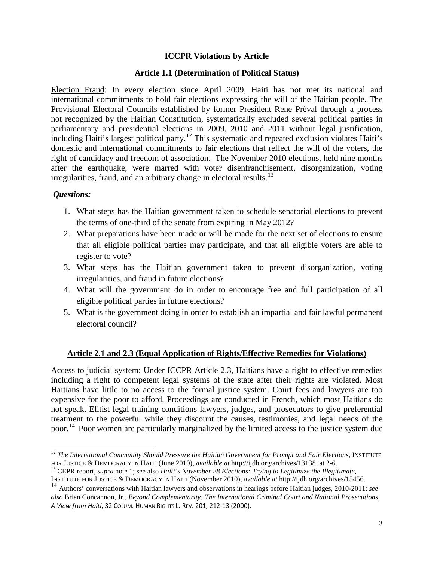## **ICCPR Violations by Article**

#### **Article 1.1 (Determination of Political Status)**

Election Fraud: In every election since April 2009, Haiti has not met its national and international commitments to hold fair elections expressing the will of the Haitian people. The Provisional Electoral Councils established by former President Rene Prèval through a process not recognized by the Haitian Constitution, systematically excluded several political parties in parliamentary and presidential elections in 2009, 2010 and 2011 without legal justification, including Haiti's largest political party.<sup>[12](#page-1-8)</sup> This systematic and repeated exclusion violates Haiti's domestic and international commitments to fair elections that reflect the will of the voters, the right of candidacy and freedom of association. The November 2010 elections, held nine months after the earthquake, were marred with voter disenfranchisement, disorganization, voting irregularities, fraud, and an arbitrary change in electoral results.<sup>[13](#page-2-0)</sup>

#### *Questions:*

- 1. What steps has the Haitian government taken to schedule senatorial elections to prevent the terms of one-third of the senate from expiring in May 2012?
- 2. What preparations have been made or will be made for the next set of elections to ensure that all eligible political parties may participate, and that all eligible voters are able to register to vote?
- 3. What steps has the Haitian government taken to prevent disorganization, voting irregularities, and fraud in future elections?
- 4. What will the government do in order to encourage free and full participation of all eligible political parties in future elections?
- 5. What is the government doing in order to establish an impartial and fair lawful permanent electoral council?

#### **Article 2.1 and 2.3 (Equal Application of Rights/Effective Remedies for Violations)**

<span id="page-2-2"></span>Access to judicial system: Under ICCPR Article 2.3, Haitians have a right to effective remedies including a right to competent legal systems of the state after their rights are violated. Most Haitians have little to no access to the formal justice system. Court fees and lawyers are too expensive for the poor to afford. Proceedings are conducted in French, which most Haitians do not speak. Elitist legal training conditions lawyers, judges, and prosecutors to give preferential treatment to the powerful while they discount the causes, testimonies, and legal needs of the poor.<sup>[14](#page-2-1)</sup> Poor women are particularly marginalized by the limited access to the justice system due

<sup>&</sup>lt;sup>12</sup> *The International Community Should Pressure the Haitian Government for Prompt and Fair Elections, INSTITUTE* FOR JUSTICE & DEMOCRACY IN HAITI (June 2010), *available at http://ijdh.org/archives/13138*, at 2-6.<br><sup>13</sup> CEPR report, *supra* note 1; see also *Haiti's November 28 Elections: Trying to Legitimize the Illegitimate*,

<span id="page-2-0"></span>INSTITUTE FOR JUSTICE & DEMOCRACY IN HAITI (November 2010), *available at* http://ijdh.org/archives/15456.

<span id="page-2-1"></span><sup>14</sup> Authors' conversations with Haitian lawyers and observations in hearings before Haitian judges, 2010-2011; *see also* Brian Concannon, Jr., *Beyond Complementarity: The International Criminal Court and National Prosecutions, A View from Haiti*, 32 COLUM. HUMAN RIGHTS L. REV. 201, 212-13 (2000).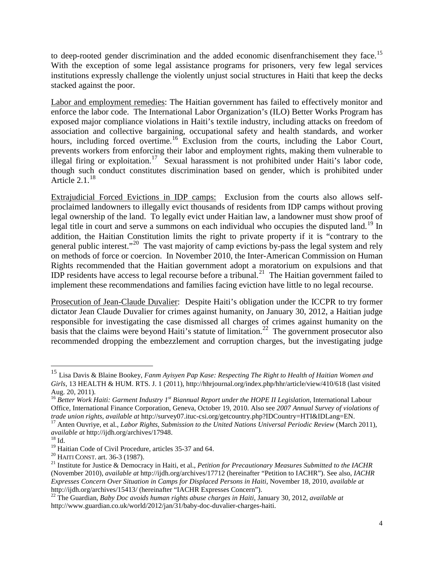to deep-rooted gender discrimination and the added economic disenfranchisement they face.<sup>[15](#page-2-2)</sup> With the exception of some legal assistance programs for prisoners, very few legal services institutions expressly challenge the violently unjust social structures in Haiti that keep the decks stacked against the poor.

Labor and employment remedies: The Haitian government has failed to effectively monitor and enforce the labor code. The International Labor Organization's (ILO) Better Works Program has exposed major compliance violations in Haiti's textile industry, including attacks on freedom of association and collective bargaining, occupational safety and health standards, and worker hours, including forced overtime.<sup>[16](#page-3-0)</sup> Exclusion from the courts, including the Labor Court, prevents workers from enforcing their labor and employment rights, making them vulnerable to illegal firing or exploitation.<sup>[17](#page-3-1)</sup> Sexual harassment is not prohibited under Haiti's labor code, though such conduct constitutes discrimination based on gender, which is prohibited under Article  $2.1<sup>18</sup>$  $2.1<sup>18</sup>$  $2.1<sup>18</sup>$ 

Extrajudicial Forced Evictions in IDP camps: Exclusion from the courts also allows selfproclaimed landowners to illegally evict thousands of residents from IDP camps without proving legal ownership of the land. To legally evict under Haitian law, a landowner must show proof of legal title in court and serve a summons on each individual who occupies the disputed land.<sup>[19](#page-3-3)</sup> In addition, the Haitian Constitution limits the right to private property if it is "contrary to the general public interest."[20](#page-3-4) The vast majority of camp evictions by-pass the legal system and rely on methods of force or coercion. In November 2010, the Inter-American Commission on Human Rights recommended that the Haitian government adopt a moratorium on expulsions and that IDP residents have access to legal recourse before a tribunal.<sup>21</sup> The Haitian government failed to implement these recommendations and families facing eviction have little to no legal recourse.

Prosecution of Jean-Claude Duvalier: Despite Haiti's obligation under the ICCPR to try former dictator Jean Claude Duvalier for crimes against humanity, on January 30, 2012, a Haitian judge responsible for investigating the case dismissed all charges of crimes against humanity on the basis that the claims were beyond Haiti's statute of limitation.<sup>[22](#page-3-6)</sup> The government prosecutor also recommended dropping the embezzlement and corruption charges, but the investigating judge

 <sup>15</sup> Lisa Davis & Blaine Bookey, *Fanm Ayisyen Pap Kase: Respecting The Right to Health of Haitian Women and Girls*, 13 HEALTH & HUM. RTS. J. 1 (2011), http://hhrjournal.org/index.php/hhr/article/view/410/618 (last visited Aug. 20, 2011).

<span id="page-3-0"></span><sup>16</sup> *Better Work Haiti: Garment Industry 1st Biannual Report under the HOPE II Legislation*, International Labour Office, International Finance Corporation, Geneva, October 19, 2010. Also see *2007 Annual Survey of violations of*  trade union rights, available at [http://survey07.ituc-csi.org/getcountry.php?IDCountry=HTI&IDLang=EN.](http://survey07.ituc-csi.org/getcountry.php?IDCountry=HTI&IDLang=EN)<br><sup>17</sup> Anten Ouvriye, et al., *Labor Rights, Submission to the United Nations Universal Periodic Review* (March 2011),

<span id="page-3-1"></span>*available at* http://ijdh.org/archives/17948.<br><sup>18</sup> Id.<br><sup>19</sup> Haitian Code of Civil Procedure, articles 35-37 and 64.

<span id="page-3-2"></span>

<span id="page-3-5"></span><span id="page-3-4"></span><span id="page-3-3"></span><sup>&</sup>lt;sup>20</sup> HAITI CONST. art. 36-3 (1987).<br><sup>21</sup> Institute for Justice & Democracy in Haiti, et al., *Petition for Precautionary Measures Submitted to the IACHR* (November 2010), *available at* http://ijdh.org/archives/17712 (hereinafter "Petition to IACHR"). See also, *IACHR Expresses Concern Over Situation in Camps for Displaced Persons in Haiti*, November 18, 2010, *available at* http://ijdh.org/archives/15413/ (hereinafter "IACHR Expresses Concern").

<span id="page-3-6"></span><sup>22</sup> The Guardian, *Baby Doc avoids human rights abuse charges in Haiti*, January 30, 2012, *available at* http://www.guardian.co.uk/world/2012/jan/31/baby-doc-duvalier-charges-haiti.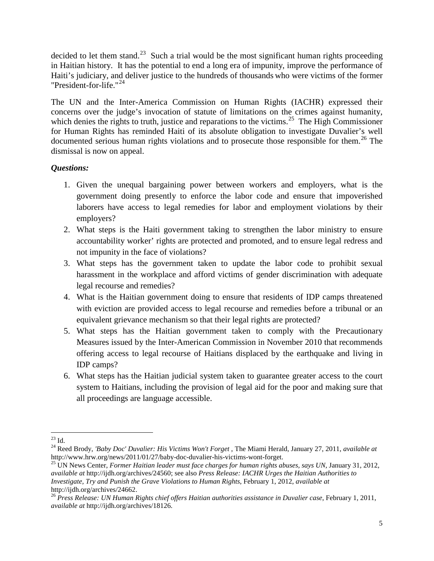decided to let them stand.<sup>23</sup> Such a trial would be the most significant human rights proceeding in Haitian history. It has the potential to end a long era of impunity, improve the performance of Haiti's judiciary, and deliver justice to the hundreds of thousands who were victims of the former "President-for-life."[24](#page-4-0)

The UN and the Inter-America Commission on Human Rights (IACHR) expressed their concerns over the judge's invocation of statute of limitations on the crimes against humanity, which denies the rights to truth, justice and reparations to the victims.<sup>[25](#page-4-1)</sup> The High Commissioner for Human Rights has reminded Haiti of its absolute obligation to investigate Duvalier's well documented serious human rights violations and to prosecute those responsible for them.<sup>[26](#page-4-2)</sup> The dismissal is now on appeal.

- 1. Given the unequal bargaining power between workers and employers, what is the government doing presently to enforce the labor code and ensure that impoverished laborers have access to legal remedies for labor and employment violations by their employers?
- 2. What steps is the Haiti government taking to strengthen the labor ministry to ensure accountability worker' rights are protected and promoted, and to ensure legal redress and not impunity in the face of violations?
- 3. What steps has the government taken to update the labor code to prohibit sexual harassment in the workplace and afford victims of gender discrimination with adequate legal recourse and remedies?
- 4. What is the Haitian government doing to ensure that residents of IDP camps threatened with eviction are provided access to legal recourse and remedies before a tribunal or an equivalent grievance mechanism so that their legal rights are protected?
- 5. What steps has the Haitian government taken to comply with the Precautionary Measures issued by the Inter-American Commission in November 2010 that recommends offering access to legal recourse of Haitians displaced by the earthquake and living in IDP camps?
- 6. What steps has the Haitian judicial system taken to guarantee greater access to the court system to Haitians, including the provision of legal aid for the poor and making sure that all proceedings are language accessible.

<span id="page-4-3"></span><span id="page-4-0"></span><sup>&</sup>lt;sup>23</sup> Id.<br><sup>24</sup> Reed Brody, *['Baby Doc' Duvalier: His Victims Won't Forget](http://www.hrw.org/news/2011/01/27/baby-doc-duvalier-his-victims-wont-forget)*, The Miami Herald, January 27, 2011, *available at* <br>http://www.hrw.org/news/2011/01/27/baby-doc-duvalier-his-victims-wont-forget.

<span id="page-4-1"></span><sup>&</sup>lt;sup>25</sup> UN News Center, *Former Haitian leader must face charges for human rights abuses, says UN*, January 31, 2012, *available at* [http://ijdh.org/archives/24560;](http://ijdh.org/archives/24560) see also *Press Release: IACHR Urges the Haitian Authorities to Investigate, Try and Punish the Grave Violations to Human Rights*, February 1, 2012, *available at* 

<span id="page-4-2"></span>[http://ijdh.org/archives/24662.](http://ijdh.org/archives/24662) <sup>26</sup> *Press Release: UN Human Rights chief offers Haitian authorities assistance in Duvalier case*, February 1, 2011, *available at* http://ijdh.org/archives/18126*.*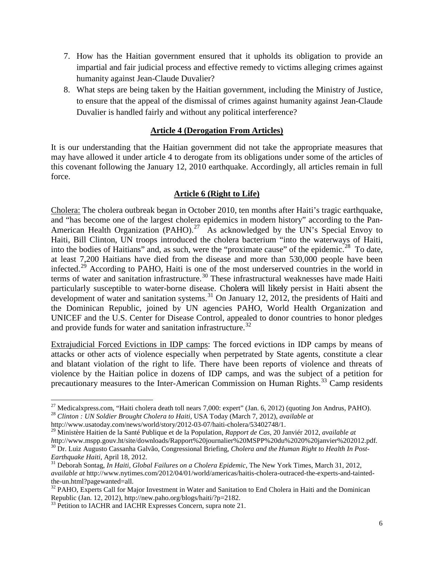- 7. How has the Haitian government ensured that it upholds its obligation to provide an impartial and fair judicial process and effective remedy to victims alleging crimes against humanity against Jean-Claude Duvalier?
- 8. What steps are being taken by the Haitian government, including the Ministry of Justice, to ensure that the appeal of the dismissal of crimes against humanity against Jean-Claude Duvalier is handled fairly and without any political interference?

#### **Article 4 (Derogation From Articles)**

It is our understanding that the Haitian government did not take the appropriate measures that may have allowed it under article 4 to derogate from its obligations under some of the articles of this covenant following the January 12, 2010 earthquake. Accordingly, all articles remain in full force.

#### **Article 6 (Right to Life)**

Cholera: The cholera outbreak began in October 2010, ten months after Haiti's tragic earthquake, and "has become one of the largest cholera epidemics in modern history" according to the Pan-American Health Organization (PAHO).<sup>[27](#page-4-3)</sup> As acknowledged by the UN's Special Envoy to Haiti, Bill Clinton, UN troops introduced the cholera bacterium "into the waterways of Haiti, into the bodies of Haitians" and, as such, were the "proximate cause" of the epidemic.<sup>28</sup> To date, at least 7,200 Haitians have died from the disease and more than 530,000 people have been infected.<sup>[29](#page-5-1)</sup> According to PAHO, Haiti is one of the most underserved countries in the world in terms of water and sanitation infrastructure.<sup>[30](#page-5-2)</sup> These infrastructural weaknesses have made Haiti particularly susceptible to water-borne disease. Cholera will likely persist in Haiti absent the development of water and sanitation systems.<sup>[31](#page-5-3)</sup> On January 12, 2012, the presidents of Haiti and the Dominican Republic, joined by UN agencies PAHO, World Health Organization and UNICEF and the U.S. Center for Disease Control, appealed to donor countries to honor pledges and provide funds for water and sanitation infrastructure.<sup>[32](#page-5-4)</sup>

Extrajudicial Forced Evictions in IDP camps: The forced evictions in IDP camps by means of attacks or other acts of violence especially when perpetrated by State agents, constitute a clear and blatant violation of the right to life. There have been reports of violence and threats of violence by the Haitian police in dozens of IDP camps, and was the subject of a petition for precautionary measures to the Inter-American Commission on Human Rights.<sup>[33](#page-5-5)</sup> Camp residents

<span id="page-5-0"></span><sup>27</sup> Medicalxpress.com, "Haiti cholera death toll nears 7,000: expert" (Jan. 6, 2012) (quoting Jon Andrus, PAHO). <sup>28</sup> *Clinton : UN Soldier Brought Cholera to Haiti*, USA Today (March 7, 2012), *available at*

http://www.usatoday.com/news/world/story/2012-03-07/haiti-cholera/53402748/1.

<span id="page-5-6"></span><span id="page-5-1"></span><sup>&</sup>lt;sup>29</sup> Ministère Haitien de la Santé Publique et de la Population, *Rapport de Cas*, 20 Janviér 2012, *available at http://www.mspp.gouv.ht/site/downloads/Rapport%20journalier%20MSPP%20du%2020%20janvier%202012.pdf.* <sup>30</sup> Dr. Luiz Augusto Cassanha Galvão, Congressional Briefing, *Cholera and the Human Right to Health In Post-*

<span id="page-5-3"></span><span id="page-5-2"></span>*Earthquake Haiti*, April 18, 2012. 31 Deborah Sontag, *In Haiti, Global Failures on a Cholera Epidemic*, The New York Times, March 31, 2012, *available at* http://www.nytimes.com/2012/04/01/world/americas/haitis-cholera-outraced-the-experts-and-tainted-

<span id="page-5-4"></span>the-un.html?pagewanted=all.<br><sup>32</sup> PAHO, Experts Call for Major Investment in Water and Sanitation to End Cholera in Haiti and the Dominican Republic (Jan. 12, 2012), http://new.paho.org/blogs/haiti/?p=2182.

<span id="page-5-5"></span><sup>&</sup>lt;sup>33</sup> Petition to IACHR and IACHR Expresses Concern, supra note 21.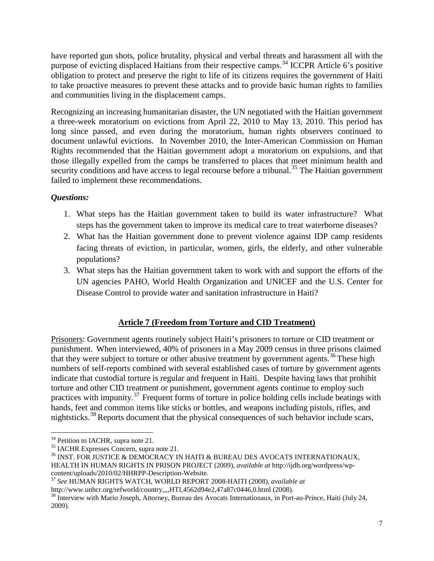have reported gun shots, police brutality, physical and verbal threats and harassment all with the purpose of evicting displaced Haitians from their respective camps.<sup>[34](#page-5-6)</sup> ICCPR Article 6's positive obligation to protect and preserve the right to life of its citizens requires the government of Haiti to take proactive measures to prevent these attacks and to provide basic human rights to families and communities living in the displacement camps.

Recognizing an increasing humanitarian disaster, the UN negotiated with the Haitian government a three-week moratorium on evictions from April 22, 2010 to May 13, 2010. This period has long since passed, and even during the moratorium, human rights observers continued to document unlawful evictions. In November 2010, the Inter-American Commission on Human Rights recommended that the Haitian government adopt a moratorium on expulsions, and that those illegally expelled from the camps be transferred to places that meet minimum health and security conditions and have access to legal recourse before a tribunal.<sup>[35](#page-6-0)</sup> The Haitian government failed to implement these recommendations.

# *Questions:*

- 1. What steps has the Haitian government taken to build its water infrastructure? What steps has the government taken to improve its medical care to treat waterborne diseases?
- 2. What has the Haitian government done to prevent violence against IDP camp residents facing threats of eviction, in particular, women, girls, the elderly, and other vulnerable populations?
- 3. What steps has the Haitian government taken to work with and support the efforts of the UN agencies PAHO, World Health Organization and UNICEF and the U.S. Center for Disease Control to provide water and sanitation infrastructure in Haiti?

# **Article 7 (Freedom from Torture and CID Treatment)**

Prisoners: Government agents routinely subject Haiti's prisoners to torture or CID treatment or punishment. When interviewed, 40% of prisoners in a May 2009 census in three prisons claimed that they were subject to torture or other abusive treatment by government agents.<sup>[36](#page-6-1)</sup> These high numbers of self-reports combined with several established cases of torture by government agents indicate that custodial torture is regular and frequent in Haiti. Despite having laws that prohibit torture and other CID treatment or punishment, government agents continue to employ such practices with impunity.<sup>[37](#page-6-2)</sup> Frequent forms of torture in police holding cells include beatings with hands, feet and common items like sticks or bottles, and weapons including pistols, rifles, and nightsticks.[38](#page-6-3) Reports document that the physical consequences of such behavior include scars,

<span id="page-6-1"></span><span id="page-6-0"></span>

<sup>&</sup>lt;sup>34</sup> Petition to IACHR, supra note 21.<br><sup>35</sup> IACHR Expresses Concern, supra note 21.<br><sup>36</sup> INST. FOR JUSTICE & DEMOCRACY IN HAITI & BUREAU DES AVOCATS INTERNATIONAUX, HEALTH IN HUMAN RIGHTS IN PRISON PROJECT (2009), *available at* http://ijdh.org/wordpress/wp-

<span id="page-6-2"></span><sup>&</sup>lt;sup>37</sup> See HUMAN RIGHTS WATCH, WORLD REPORT 2008-HAITI (2008), *available at* http://www.unhcr.org/refworld/country,,,,HTI,4562d94e2,47a87c0446,0.html (2008).

<span id="page-6-3"></span><sup>&</sup>lt;sup>38</sup> Interview with Mario Joseph, Attorney, Bureau des Avocats Internationaux, in Port-au-Prince, Haiti (July 24, 2009).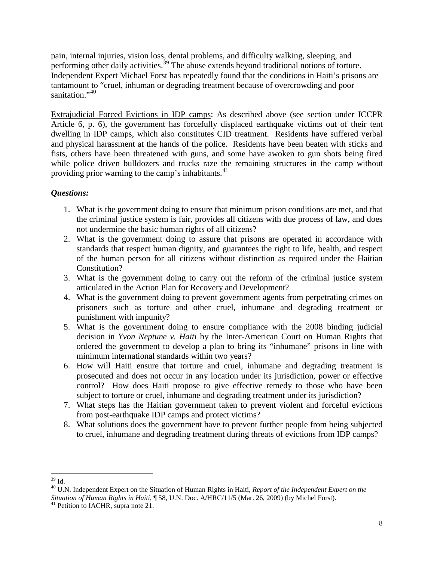pain, internal injuries, vision loss, dental problems, and difficulty walking, sleeping, and performing other daily activities.<sup>[39](#page-6-2)</sup> The abuse extends beyond traditional notions of torture. Independent Expert Michael Forst has repeatedly found that the conditions in Haiti's prisons are tantamount to "cruel, inhuman or degrading treatment because of overcrowding and poor sanitation."<sup>[40](#page-7-0)</sup>

Extrajudicial Forced Evictions in IDP camps: As described above (see section under ICCPR Article 6, p. 6), the government has forcefully displaced earthquake victims out of their tent dwelling in IDP camps, which also constitutes CID treatment. Residents have suffered verbal and physical harassment at the hands of the police. Residents have been beaten with sticks and fists, others have been threatened with guns, and some have awoken to gun shots being fired while police driven bulldozers and trucks raze the remaining structures in the camp without providing prior warning to the camp's inhabitants.<sup>[41](#page-7-1)</sup>

- 1. What is the government doing to ensure that minimum prison conditions are met, and that the criminal justice system is fair, provides all citizens with due process of law, and does not undermine the basic human rights of all citizens?
- 2. What is the government doing to assure that prisons are operated in accordance with standards that respect human dignity, and guarantees the right to life, health, and respect of the human person for all citizens without distinction as required under the Haitian Constitution?
- 3. What is the government doing to carry out the reform of the criminal justice system articulated in the Action Plan for Recovery and Development?
- 4. What is the government doing to prevent government agents from perpetrating crimes on prisoners such as torture and other cruel, inhumane and degrading treatment or punishment with impunity?
- 5. What is the government doing to ensure compliance with the 2008 binding judicial decision in *Yvon Neptune v. Haiti* by the Inter-American Court on Human Rights that ordered the government to develop a plan to bring its "inhumane" prisons in line with minimum international standards within two years?
- <span id="page-7-2"></span>6. How will Haiti ensure that torture and cruel, inhumane and degrading treatment is prosecuted and does not occur in any location under its jurisdiction, power or effective control? How does Haiti propose to give effective remedy to those who have been subject to torture or cruel, inhumane and degrading treatment under its jurisdiction?
- 7. What steps has the Haitian government taken to prevent violent and forceful evictions from post-earthquake IDP camps and protect victims?
- 8. What solutions does the government have to prevent further people from being subjected to cruel, inhumane and degrading treatment during threats of evictions from IDP camps?

<span id="page-7-0"></span><sup>&</sup>lt;sup>39</sup> Id.<br><sup>40</sup> U.N. Independent Expert on the Situation of Human Rights in Haiti, *Report of the Independent Expert on the Situation of Human Rights in Haiti*, ¶ 58, U.N. Doc. A/HRC/11/5 (Mar. 26, 2009) (by Michel Forst). <sup>41</sup> Petition to IACHR, supra note 21.

<span id="page-7-1"></span>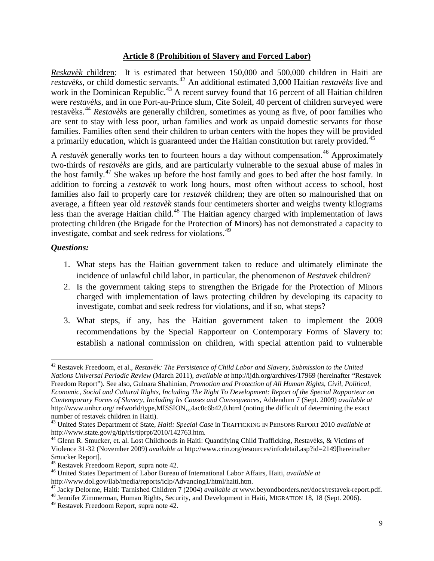#### **Article 8 (Prohibition of Slavery and Forced Labor)**

*Reskavèk* children: It is estimated that between 150,000 and 500,000 children in Haiti are *restavèks*, or child domestic servants.[42](#page-7-2) An additional estimated 3,000 Haitian *restavèks* live and work in the Dominican Republic.<sup>[43](#page-8-0)</sup> A recent survey found that  $16$  percent of all Haitian children were *restavèks*, and in one Port-au-Prince slum, Cite Soleil, 40 percent of children surveyed were restavèks. [44](#page-8-1) *Restavèk*s are generally children, sometimes as young as five, of poor families who are sent to stay with less poor, urban families and work as unpaid domestic servants for those families. Families often send their children to urban centers with the hopes they will be provided a primarily education, which is guaranteed under the Haitian constitution but rarely provided.<sup>[45](#page-8-2)</sup>

A *restavèk* generally works ten to fourteen hours a day without compensation.<sup>[46](#page-8-3)</sup> Approximately two-thirds of *restavèks* are girls, and are particularly vulnerable to the sexual abuse of males in the host family.<sup>[47](#page-8-4)</sup> She wakes up before the host family and goes to bed after the host family. In addition to forcing a *restavèk* to work long hours, most often without access to school, host families also fail to properly care for *restavèk* children; they are often so malnourished that on average, a fifteen year old *restavèk* stands four centimeters shorter and weighs twenty kilograms less than the average Haitian child.<sup>[48](#page-8-5)</sup> The Haitian agency charged with implementation of laws protecting children (the Brigade for the Protection of Minors) has not demonstrated a capacity to investigate, combat and seek redress for violations.<sup>[49](#page-8-6)</sup>

- 1. What steps has the Haitian government taken to reduce and ultimately eliminate the incidence of unlawful child labor, in particular, the phenomenon of *Restavek* children?
- 2. Is the government taking steps to strengthen the Brigade for the Protection of Minors charged with implementation of laws protecting children by developing its capacity to investigate, combat and seek redress for violations, and if so, what steps?
- 3. What steps, if any, has the Haitian government taken to implement the 2009 recommendations by the Special Rapporteur on Contemporary Forms of Slavery to: establish a national commission on children, with special attention paid to vulnerable

<span id="page-8-7"></span> <sup>42</sup> Restavek Freedoom, et al., *Restavèk: The Persistence of Child Labor and Slavery, Submission to the United Nations Universal Periodic Review* (March 2011), *available at* http://ijdh.org/archives/17969 (hereinafter "Restavek Freedom Report"). See also, Gulnara Shahinian, *Promotion and Protection of All Human Rights, Civil, Political, Economic, Social and Cultural Rights, Including The Right To Development: Report of the Special Rapporteur on Contemporary Forms of Slavery, Including Its Causes and Consequences*, Addendum 7 (Sept. 2009) *available at*  http://www.unhcr.org/ refworld/type,MISSION,,,4ac0c6b42,0.html (noting the difficult of determining the exact number of restavek children in Haiti).

<span id="page-8-0"></span><sup>43</sup> United States Department of State, *Haiti: Special Case* in TRAFFICKING IN PERSONS REPORT 2010 *available at*  http://www.state.gov/g/tip/rls/tiprpt/2010/142763.htm.

<span id="page-8-1"></span><sup>44</sup> Glenn R. Smucker, et. al. Lost Childhoods in Haiti: Quantifying Child Trafficking, Restavèks, & Victims of Violence 31-32 (November 2009) *available at* http://www.crin.org/resources/infodetail.asp?id=2149[hereinafter Smucker Report].<br><sup>45</sup> Restavek Freedoom Report, supra note 42.

<span id="page-8-2"></span>

<span id="page-8-3"></span><sup>&</sup>lt;sup>46</sup> United States Department of Labor Bureau of International Labor Affairs, Haiti, *available at* http://www.dol.gov/ilab/media/reports/iclp/Advancing1/html/haiti.htm.

<span id="page-8-4"></span><sup>&</sup>lt;sup>47</sup> Jacky Delorme, Haiti: Tarnished Children 7 (2004) *available at* www.beyondborders.net/docs/restavek-report.pdf.<br><sup>48</sup> Jennifer Zimmerman, Human Rights, Security, and Development in Haiti, MIGRATION 18, 18 (Sept. 2006)

<span id="page-8-5"></span>

<span id="page-8-6"></span><sup>49</sup> Restavek Freedoom Report, supra note 42.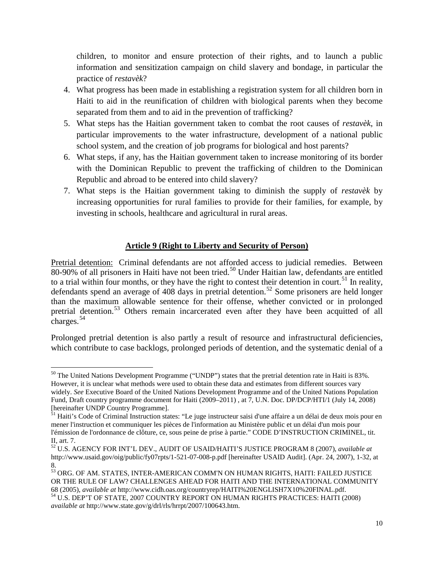children, to monitor and ensure protection of their rights, and to launch a public information and sensitization campaign on child slavery and bondage, in particular the practice of *restavèk*?

- 4. What progress has been made in establishing a registration system for all children born in Haiti to aid in the reunification of children with biological parents when they become separated from them and to aid in the prevention of trafficking?
- 5. What steps has the Haitian government taken to combat the root causes of *restavèk*, in particular improvements to the water infrastructure, development of a national public school system, and the creation of job programs for biological and host parents?
- 6. What steps, if any, has the Haitian government taken to increase monitoring of its border with the Dominican Republic to prevent the trafficking of children to the Dominican Republic and abroad to be entered into child slavery?
- 7. What steps is the Haitian government taking to diminish the supply of *restavèk* by increasing opportunities for rural families to provide for their families, for example, by investing in schools, healthcare and agricultural in rural areas.

## **Article 9 (Right to Liberty and Security of Person)**

Pretrial detention: Criminal defendants are not afforded access to judicial remedies. Between 80-90% of all prisoners in Haiti have not been tried.<sup>[50](#page-8-7)</sup> Under Haitian law, defendants are entitled to a trial within four months, or they have the right to contest their detention in court.<sup>[51](#page-9-0)</sup> In reality, defendants spend an average of 408 days in pretrial detention.<sup>[52](#page-9-1)</sup> Some prisoners are held longer than the maximum allowable sentence for their offense, whether convicted or in prolonged pretrial detention.[53](#page-9-2) Others remain incarcerated even after they have been acquitted of all charges.[54](#page-9-3)

Prolonged pretrial detention is also partly a result of resource and infrastructural deficiencies, which contribute to case backlogs, prolonged periods of detention, and the systematic denial of a

<sup>&</sup>lt;sup>50</sup> The United Nations Development Programme ("UNDP") states that the pretrial detention rate in Haiti is 83%. However, it is unclear what methods were used to obtain these data and estimates from different sources vary widely. *See* Executive Board of the United Nations Development Programme and of the United Nations Population Fund, Draft country programme document for Haiti (2009–2011) , at 7, U.N. Doc. DP/DCP/HTI/1 (July 14, 2008) [hereinafter UNDP Country Programme].

<span id="page-9-4"></span><span id="page-9-0"></span><sup>&</sup>lt;sup>51</sup> Haiti's Code of Criminal Instruction states: "Le juge instructeur saisi d'une affaire a un délai de deux mois pour en mener l'instruction et communiquer les pièces de l'information au Ministère public et un délai d'un mois pour l'émission de l'ordonnance de clôture, ce, sous peine de prise à partie." CODE D'INSTRUCTION CRIMINEL, tit. II, art. 7.

<span id="page-9-1"></span><sup>52</sup> U.S. AGENCY FOR INT'L DEV., AUDIT OF USAID/HAITI'S JUSTICE PROGRAM 8 (2007), *available at* http://www.usaid.gov/oig/public/fy07rpts/1-521-07-008-p.pdf [hereinafter USAID Audit]. (Apr. 24, 2007), 1-32, at 8.

<span id="page-9-3"></span><span id="page-9-2"></span> $^{53}$  ORG. OF AM. STATES, INTER-AMERICAN COMM'N ON HUMAN RIGHTS, HAITI: FAILED JUSTICE OR THE RULE OF LAW? CHALLENGES AHEAD FOR HAITI AND THE INTERNATIONAL COMMUNITY 68 (2005), *available at* http://www.cidh.oas.org/countryrep/HAITI%20ENGLISH7X10%20FINAL.pdf. <sup>54</sup> U.S. DEP'T OF STATE, 2007 COUNTRY REPORT ON HUMAN RIGHTS PRACTICES: HAITI (2008) *available at* http://www.state.gov/g/drl/rls/hrrpt/2007/100643.htm.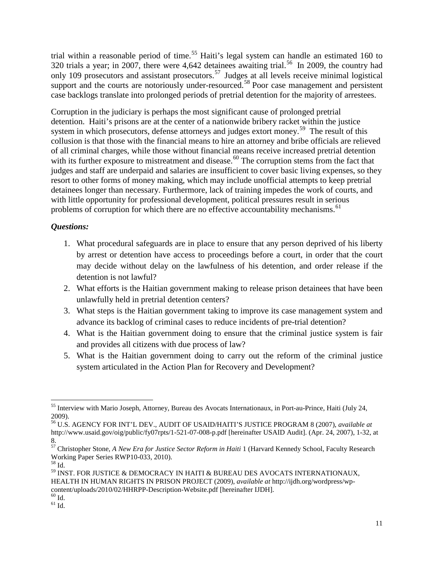trial within a reasonable period of time.<sup>[55](#page-9-4)</sup> Haiti's legal system can handle an estimated 160 to 320 trials a year; in 2007, there were 4,642 detainees awaiting trial.<sup>[56](#page-10-0)</sup> In 2009, the country had only 109 prosecutors and assistant prosecutors.<sup>[57](#page-10-1)</sup> Judges at all levels receive minimal logistical support and the courts are notoriously under-resourced.<sup>[58](#page-10-2)</sup> Poor case management and persistent case backlogs translate into prolonged periods of pretrial detention for the majority of arrestees.

Corruption in the judiciary is perhaps the most significant cause of prolonged pretrial detention. Haiti's prisons are at the center of a nationwide bribery racket within the justice system in which prosecutors, defense attorneys and judges extort money.<sup>[59](#page-10-3)</sup> The result of this collusion is that those with the financial means to hire an attorney and bribe officials are relieved of all criminal charges, while those without financial means receive increased pretrial detention with its further exposure to mistreatment and disease.<sup>[60](#page-10-4)</sup> The corruption stems from the fact that judges and staff are underpaid and salaries are insufficient to cover basic living expenses, so they resort to other forms of money making, which may include unofficial attempts to keep pretrial detainees longer than necessary. Furthermore, lack of training impedes the work of courts, and with little opportunity for professional development, political pressures result in serious problems of corruption for which there are no effective accountability mechanisms.<sup>[61](#page-10-5)</sup>

- 1. What procedural safeguards are in place to ensure that any person deprived of his liberty by arrest or detention have access to proceedings before a court, in order that the court may decide without delay on the lawfulness of his detention, and order release if the detention is not lawful?
- 2. What efforts is the Haitian government making to release prison detainees that have been unlawfully held in pretrial detention centers?
- 3. What steps is the Haitian government taking to improve its case management system and advance its backlog of criminal cases to reduce incidents of pre-trial detention?
- 4. What is the Haitian government doing to ensure that the criminal justice system is fair and provides all citizens with due process of law?
- 5. What is the Haitian government doing to carry out the reform of the criminal justice system articulated in the Action Plan for Recovery and Development?

<span id="page-10-5"></span><span id="page-10-4"></span>

<span id="page-10-6"></span> <sup>55</sup> Interview with Mario Joseph, Attorney, Bureau des Avocats Internationaux, in Port-au-Prince, Haiti (July 24, 2009).

<span id="page-10-0"></span><sup>56</sup> U.S. AGENCY FOR INT'L DEV., AUDIT OF USAID/HAITI'S JUSTICE PROGRAM 8 (2007), *available at* http://www.usaid.gov/oig/public/fy07rpts/1-521-07-008-p.pdf [hereinafter USAID Audit]. (Apr. 24, 2007), 1-32, at 8.

<sup>57</sup> Christopher Stone, *A New Era for Justice Sector Reform in Haiti* 1 (Harvard Kennedy School, Faculty Research Working Paper Series RWP10-033, 2010). <sup>58</sup> Id.

<span id="page-10-3"></span><span id="page-10-2"></span><span id="page-10-1"></span><sup>59</sup> INST. FOR JUSTICE & DEMOCRACY IN HAITI & BUREAU DES AVOCATS INTERNATIONAUX, HEALTH IN HUMAN RIGHTS IN PRISON PROJECT (2009), *available at* http://ijdh.org/wordpress/wpcontent/uploads/2010/02/HHRPP-Description-Website.pdf [hereinafter IJDH].  $^{60}$  Id.  $^{61}$  Id.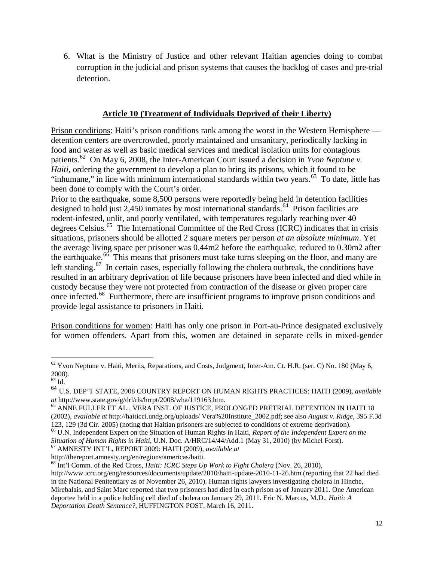6. What is the Ministry of Justice and other relevant Haitian agencies doing to combat corruption in the judicial and prison systems that causes the backlog of cases and pre-trial detention.

## **Article 10 (Treatment of Individuals Deprived of their Liberty)**

Prison conditions: Haiti's prison conditions rank among the worst in the Western Hemisphere detention centers are overcrowded, poorly maintained and unsanitary, periodically lacking in food and water as well as basic medical services and medical isolation units for contagious patients.<sup>[62](#page-10-6)</sup> On May 6, 2008, the Inter-American Court issued a decision in *Yvon Neptune v*. *Haiti*, ordering the government to develop a plan to bring its prisons, which it found to be "inhumane," in line with minimum international standards within two years.<sup>[63](#page-11-0)</sup> To date, little has been done to comply with the Court's order.

Prior to the earthquake, some 8,500 persons were reportedly being held in detention facilities designed to hold just 2,450 inmates by most international standards.<sup>[64](#page-11-1)</sup> Prison facilities are rodent-infested, unlit, and poorly ventilated, with temperatures regularly reaching over 40 degrees Celsius. [65](#page-11-2) The International Committee of the Red Cross (ICRC) indicates that in crisis situations, prisoners should be allotted 2 square meters per person *at an absolute minimum*. Yet the average living space per prisoner was 0.44m2 before the earthquake, reduced to 0.30m2 after the earthquake.<sup>[66](#page-11-3)</sup> This means that prisoners must take turns sleeping on the floor, and many are left standing.<sup>[67](#page-11-4)</sup> In certain cases, especially following the cholera outbreak, the conditions have resulted in an arbitrary deprivation of life because prisoners have been infected and died while in custody because they were not protected from contraction of the disease or given proper care once infected. [68](#page-11-5) Furthermore, there are insufficient programs to improve prison conditions and provide legal assistance to prisoners in Haiti.

Prison conditions for women: Haiti has only one prison in Port-au-Prince designated exclusively for women offenders. Apart from this, women are detained in separate cells in mixed-gender

 $62$  Yvon Neptune v. Haiti, Merits, Reparations, and Costs, Judgment, Inter-Am. Ct. H.R. (ser. C) No. 180 (May 6, 2008).

<span id="page-11-0"></span> $63$  Id.

<span id="page-11-1"></span><sup>64</sup> U.S. DEP'T STATE, 2008 COUNTRY REPORT ON HUMAN RIGHTS PRACTICES: HAITI (2009), *available* 

<span id="page-11-2"></span><sup>&</sup>lt;sup>65</sup> ANNE FULLER ET AL., VERA INST. OF JUSTICE, PROLONGED PRETRIAL DETENTION IN HAITI 18 (2002), *available at* http://haiticci.undg.org/uploads/ Vera%20Institute\_2002.pdf; see also *August v. Ridge*, 395 F.3d

<span id="page-11-6"></span><span id="page-11-3"></span><sup>&</sup>lt;sup>66</sup> U.N. Independent Expert on the Situation of Human Rights in Haiti, Report of the Independent Expert on the *Situation of Human Rights in Haiti*, U.N. Doc. A/HRC/14/44/Add.1 (May 31, 2010) (by Michel Forst).<br><sup>67</sup> AMNESTY INT'L, REPORT 2009: HAITI (2009), *available at* <br>http://thereport.amnesty.org/en/regions/americas/haiti.

<span id="page-11-4"></span>

<span id="page-11-5"></span><sup>&</sup>lt;sup>68</sup> Int'l Comm. of the Red Cross, *Haiti: ICRC Steps Up Work to Fight Cholera* (Nov. 26, 2010), http://www.icrc.org/eng/resources/documents/update/2010/haiti-update-2010-11-26.htm (reporting that 22 had died in the National Penitentiary as of November 26, 2010). Human rights lawyers investigating cholera in Hinche, Mirebalais, and Saint Marc reported that two prisoners had died in each prison as of January 2011. One American deportee held in a police holding cell died of cholera on January 29, 2011. Eric N. Marcus, M.D., *Haiti: A Deportation Death Sentence?,* HUFFINGTON POST*,* March 16, 2011.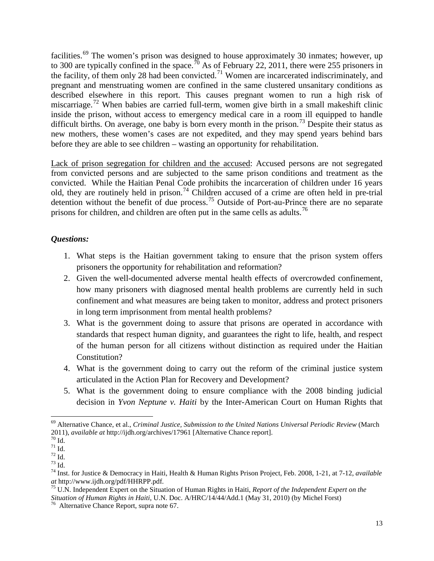facilities.<sup>[69](#page-11-6)</sup> The women's prison was designed to house approximately 30 inmates; however, up to 300 are typically confined in the space.<sup>[70](#page-12-0)</sup> As of February 22, 2011, there were 255 prisoners in the facility, of them only 28 had been convicted.<sup>[71](#page-12-1)</sup> Women are incarcerated indiscriminately, and pregnant and menstruating women are confined in the same clustered unsanitary conditions as described elsewhere in this report. This causes pregnant women to run a high risk of miscarriage.<sup>[72](#page-12-2)</sup> When babies are carried full-term, women give birth in a small makeshift clinic inside the prison, without access to emergency medical care in a room ill equipped to handle difficult births. On average, one baby is born every month in the prison.<sup>[73](#page-12-3)</sup> Despite their status as new mothers, these women's cases are not expedited, and they may spend years behind bars before they are able to see children – wasting an opportunity for rehabilitation.

Lack of prison segregation for children and the accused: Accused persons are not segregated from convicted persons and are subjected to the same prison conditions and treatment as the convicted. While the Haitian Penal Code prohibits the incarceration of children under 16 years old, they are routinely held in prison.<sup>[74](#page-12-4)</sup> Children accused of a crime are often held in pre-trial detention without the benefit of due process.[75](#page-12-5) Outside of Port-au-Prince there are no separate prisons for children, and children are often put in the same cells as adults.<sup>[76](#page-12-6)</sup>

- 1. What steps is the Haitian government taking to ensure that the prison system offers prisoners the opportunity for rehabilitation and reformation?
- 2. Given the well-documented adverse mental health effects of overcrowded confinement, how many prisoners with diagnosed mental health problems are currently held in such confinement and what measures are being taken to monitor, address and protect prisoners in long term imprisonment from mental health problems?
- 3. What is the government doing to assure that prisons are operated in accordance with standards that respect human dignity, and guarantees the right to life, health, and respect of the human person for all citizens without distinction as required under the Haitian Constitution?
- 4. What is the government doing to carry out the reform of the criminal justice system articulated in the Action Plan for Recovery and Development?
- 5. What is the government doing to ensure compliance with the 2008 binding judicial decision in *Yvon Neptune v. Haiti* by the Inter-American Court on Human Rights that

<span id="page-12-7"></span> <sup>69</sup> Alternative Chance, et al., *Criminal Justice, Submission to the United Nations Universal Periodic Review* (March 2011), *available at* http://ijdh.org/archives/17961 [Alternative Chance report].<br>
<sup>70</sup> Id.<br>
<sup>71</sup> Id.<br>
<sup>72</sup> Id.<br>
<sup>73</sup> Id.<br>
<sup>74</sup> Inst. for Justice & Democracy in Haiti, Health & Human Rights Prison Project, Feb. 2008, 1-21

<span id="page-12-0"></span>

<span id="page-12-1"></span>

<span id="page-12-2"></span>

<span id="page-12-4"></span><span id="page-12-3"></span>*at* http://www.ijdh.org/pdf/HHRPP.pdf. <sup>75</sup> U.N. Independent Expert on the Situation of Human Rights in Haiti, *Report of the Independent Expert on the* 

<span id="page-12-5"></span>*Situation of Human Rights in Haiti*, U.N. Doc. A/HRC/14/44/Add.1 (May 31, 2010) (by Michel Forst)<sup>76</sup> Alternative Chance Report, supra note 67.

<span id="page-12-6"></span>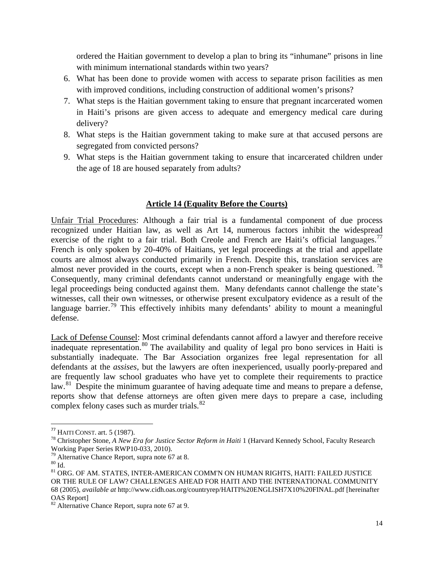ordered the Haitian government to develop a plan to bring its "inhumane" prisons in line with minimum international standards within two years?

- 6. What has been done to provide women with access to separate prison facilities as men with improved conditions, including construction of additional women's prisons?
- 7. What steps is the Haitian government taking to ensure that pregnant incarcerated women in Haiti's prisons are given access to adequate and emergency medical care during delivery?
- 8. What steps is the Haitian government taking to make sure at that accused persons are segregated from convicted persons?
- 9. What steps is the Haitian government taking to ensure that incarcerated children under the age of 18 are housed separately from adults?

## **Article 14 (Equality Before the Courts)**

Unfair Trial Procedures: Although a fair trial is a fundamental component of due process recognized under Haitian law, as well as Art 14, numerous factors inhibit the widespread exercise of the right to a fair trial. Both Creole and French are Haiti's official languages.<sup>[77](#page-12-7)</sup> French is only spoken by 20-40% of Haitians, yet legal proceedings at the trial and appellate courts are almost always conducted primarily in French. Despite this, translation services are almost never provided in the courts, except when a non-French speaker is being questioned.<sup>[78](#page-13-0)</sup> Consequently, many criminal defendants cannot understand or meaningfully engage with the legal proceedings being conducted against them. Many defendants cannot challenge the state's witnesses, call their own witnesses, or otherwise present exculpatory evidence as a result of the language barrier.<sup>[79](#page-13-1)</sup> This effectively inhibits many defendants' ability to mount a meaningful defense.

Lack of Defense Counsel: Most criminal defendants cannot afford a lawyer and therefore receive inadequate representation.<sup>[80](#page-13-2)</sup> The availability and quality of legal pro bono services in Haiti is substantially inadequate. The Bar Association organizes free legal representation for all defendants at the *assises*, but the lawyers are often inexperienced, usually poorly-prepared and are frequently law school graduates who have yet to complete their requirements to practice law.<sup>[81](#page-13-3)</sup> Despite the minimum guarantee of having adequate time and means to prepare a defense, reports show that defense attorneys are often given mere days to prepare a case, including complex felony cases such as murder trials.<sup>[82](#page-13-4)</sup>

<span id="page-13-0"></span><sup>&</sup>lt;sup>77</sup> HAITI CONST. art. 5 (1987).<br><sup>78</sup> Christopher Stone, *A New Era for Justice Sector Reform in Haiti* 1 (Harvard Kennedy School, Faculty Research<br>Working Paper Series RWP10-033, 2010).

<span id="page-13-3"></span>

<span id="page-13-2"></span><span id="page-13-1"></span><sup>&</sup>lt;sup>79</sup> Alternative Chance Report, supra note 67 at 8. 80 Id. 80 Id. 80 Id. 80 Id. 81 ORG. OF AM. STATES, INTER-AMERICAN COMM'N ON HUMAN RIGHTS, HAITI: FAILED JUSTICE OR THE RULE OF LAW? CHALLENGES AHEAD FOR HAITI AND THE INTERNATIONAL COMMUNITY 68 (2005), *available at* http://www.cidh.oas.org/countryrep/HAITI%20ENGLISH7X10%20FINAL.pdf [hereinafter OAS Report]

<span id="page-13-5"></span><span id="page-13-4"></span><sup>&</sup>lt;sup>82</sup> Alternative Chance Report, supra note 67 at 9.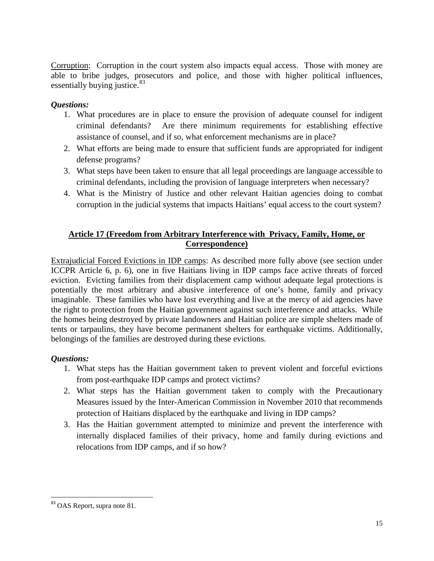Corruption: Corruption in the court system also impacts equal access. Those with money are able to bribe judges, prosecutors and police, and those with higher political influences, essentially buying justice.<sup>[83](#page-13-5)</sup>

## *Questions:*

- 1. What procedures are in place to ensure the provision of adequate counsel for indigent criminal defendants? Are there minimum requirements for establishing effective assistance of counsel, and if so, what enforcement mechanisms are in place?
- 2. What efforts are being made to ensure that sufficient funds are appropriated for indigent defense programs?
- 3. What steps have been taken to ensure that all legal proceedings are language accessible to criminal defendants, including the provision of language interpreters when necessary?
- 4. What is the Ministry of Justice and other relevant Haitian agencies doing to combat corruption in the judicial systems that impacts Haitians' equal access to the court system?

## **Article 17 (Freedom from Arbitrary Interference with Privacy, Family, Home, or Correspondence)**

Extrajudicial Forced Evictions in IDP camps: As described more fully above (see section under ICCPR Article 6, p. 6), one in five Haitians living in IDP camps face active threats of forced eviction. Evicting families from their displacement camp without adequate legal protections is potentially the most arbitrary and abusive interference of one's home, family and privacy imaginable. These families who have lost everything and live at the mercy of aid agencies have the right to protection from the Haitian government against such interference and attacks. While the homes being destroyed by private landowners and Haitian police are simple shelters made of tents or tarpaulins, they have become permanent shelters for earthquake victims. Additionally, belongings of the families are destroyed during these evictions.

- 1. What steps has the Haitian government taken to prevent violent and forceful evictions from post-earthquake IDP camps and protect victims?
- 2. What steps has the Haitian government taken to comply with the Precautionary Measures issued by the Inter-American Commission in November 2010 that recommends protection of Haitians displaced by the earthquake and living in IDP camps?
- 3. Has the Haitian government attempted to minimize and prevent the interference with internally displaced families of their privacy, home and family during evictions and relocations from IDP camps, and if so how?

<span id="page-14-0"></span><sup>83</sup> OAS Report, supra note 81.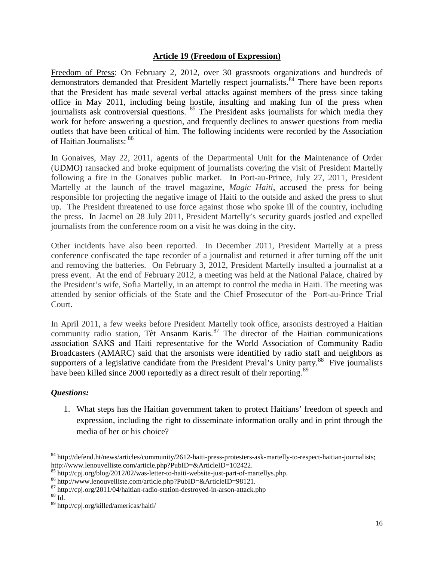#### **Article 19 (Freedom of Expression)**

Freedom of Press: On February 2, 2012, over 30 grassroots organizations and hundreds of demonstrators demanded that President Martelly respect journalists.<sup>[84](#page-14-0)</sup> There have been reports that the President has made several verbal attacks against members of the press since taking office in May 2011, including being hostile, insulting and making fun of the press when journalists ask controversial questions. <sup>[85](#page-15-0)</sup> The President asks journalists for which media they work for before answering a question, and frequently declines to answer questions from media outlets that have been critical of him. The following incidents were recorded by the Association of Haitian Journalists: [86](#page-15-1)

In Gonaives, May 22, 2011, agents of the Departmental Unit for the Maintenance of Order (UDMO) ransacked and broke equipment of journalists covering the visit of President Martelly following a fire in the Gonaives public market. In Port-au-Prince, July 27, 2011, President Martelly at the launch of the travel magazine, *Magic Haiti*, accused the press for being responsible for projecting the negative image of Haiti to the outside and asked the press to shut up. The President threatened to use force against those who spoke ill of the country, including the press. In Jacmel on 28 July 2011, President Martelly's security guards jostled and expelled journalists from the conference room on a visit he was doing in the city.

Other incidents have also been reported. In December 2011, President Martelly at a press conference confiscated the tape recorder of a journalist and returned it after turning off the unit and removing the batteries. On February 3, 2012, President Martelly insulted a journalist at a press event. At the end of February 2012, a meeting was held at the National Palace, chaired by the President's wife, Sofia Martelly, in an attempt to control the media in Haiti. The meeting was attended by senior officials of the State and the Chief Prosecutor of the Port-au-Prince Trial Court.

In April 2011, a few weeks before President Martelly took office, arsonists destroyed a Haitian community radio station, Tèt Ansanm Karis. [87](#page-15-2) The director of the Haitian communications association SAKS and Haiti representative for the World Association of Community Radio Broadcasters (AMARC) said that the arsonists were identified by radio staff and neighbors as supporters of a legislative candidate from the President Preval's Unity party.<sup>[88](#page-15-3)</sup> Five journalists have been killed since 2000 reportedly as a direct result of their reporting.<sup>[89](#page-15-4)</sup>

## *Questions:*

1. What steps has the Haitian government taken to protect Haitians' freedom of speech and expression, including the right to disseminate information orally and in print through the media of her or his choice?

<span id="page-15-5"></span><sup>84</sup> http://defend.ht/news/articles/community/2612-haiti-press-protesters-ask-martelly-to-respect-haitian-journalists; http://www.lenouvelliste.com/article.php?PubID=&ArticleID=102422.<br><sup>85</sup> http://cpj.org/blog/2012/02/was-letter-to-haiti-website-just-part-of-martellys.php.

<span id="page-15-0"></span>

<span id="page-15-2"></span><span id="page-15-1"></span><sup>&</sup>lt;sup>86</sup> http://www.lenouvelliste.com/article.php?PubID=&ArticleID=98121.<br><sup>87</sup> http://cpj.org/2011/04/haitian-radio-station-destroyed-in-arson-attack.php<br><sup>88</sup> Id

<span id="page-15-3"></span>

<span id="page-15-4"></span><sup>89</sup> http://cpj.org/killed/americas/haiti/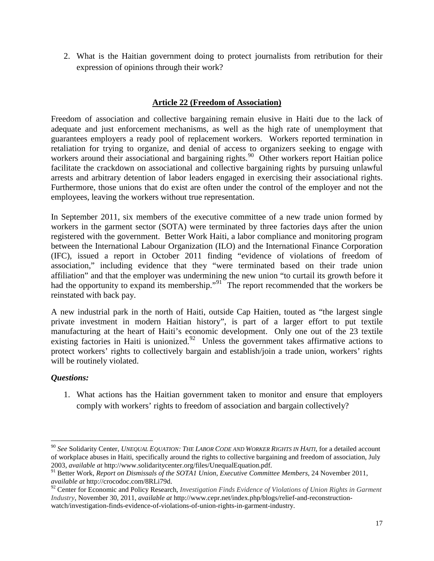2. What is the Haitian government doing to protect journalists from retribution for their expression of opinions through their work?

## **Article 22 (Freedom of Association)**

Freedom of association and collective bargaining remain elusive in Haiti due to the lack of adequate and just enforcement mechanisms, as well as the high rate of unemployment that guarantees employers a ready pool of replacement workers. Workers reported termination in retaliation for trying to organize, and denial of access to organizers seeking to engage with workers around their associational and bargaining rights.<sup>[90](#page-15-5)</sup> Other workers report Haitian police facilitate the crackdown on associational and collective bargaining rights by pursuing unlawful arrests and arbitrary detention of labor leaders engaged in exercising their associational rights. Furthermore, those unions that do exist are often under the control of the employer and not the employees, leaving the workers without true representation.

In September 2011, six members of the executive committee of a new trade union formed by workers in the garment sector (SOTA) were terminated by three factories days after the union registered with the government. Better Work Haiti, a labor compliance and monitoring program between the International Labour Organization (ILO) and the International Finance Corporation (IFC), issued a report in October 2011 finding "evidence of violations of freedom of association," including evidence that they "were terminated based on their trade union affiliation" and that the employer was undermining the new union "to curtail its growth before it had the opportunity to expand its membership."<sup>[91](#page-16-0)</sup> The report recommended that the workers be reinstated with back pay.

A new industrial park in the north of Haiti, outside Cap Haitien, touted as "the largest single private investment in modern Haitian history", is part of a larger effort to put textile manufacturing at the heart of Haiti's economic development. Only one out of the 23 textile existing factories in Haiti is unionized.<sup>92</sup> Unless the government takes affirmative actions to protect workers' rights to collectively bargain and establish/join a trade union, workers' rights will be routinely violated.

## *Questions:*

1. What actions has the Haitian government taken to monitor and ensure that employers comply with workers' rights to freedom of association and bargain collectively?

 <sup>90</sup> *See* Solidarity Center, *UNEQUAL EQUATION: THE LABOR CODE AND WORKER RIGHTS IN HAITI*, for a detailed account of workplace abuses in Haiti, specifically around the rights to collective bargaining and freedom of association, July 2003, *available at* http://www.solidaritycenter.org/files/UnequalEquation.pdf.

<span id="page-16-0"></span><sup>91</sup> Better Work, *Report on Dismissals of the SOTA1 Union, Executive Committee Members*, 24 November 2011, *available at* http://crocodoc.com/8RLi79d.

<span id="page-16-1"></span><sup>92</sup> Center for Economic and Policy Research, *Investigation Finds Evidence of Violations of Union Rights in Garment Industry*, November 30, 2011, *available at* http://www.cepr.net/index.php/blogs/relief-and-reconstructionwatch/investigation-finds-evidence-of-violations-of-union-rights-in-garment-industry.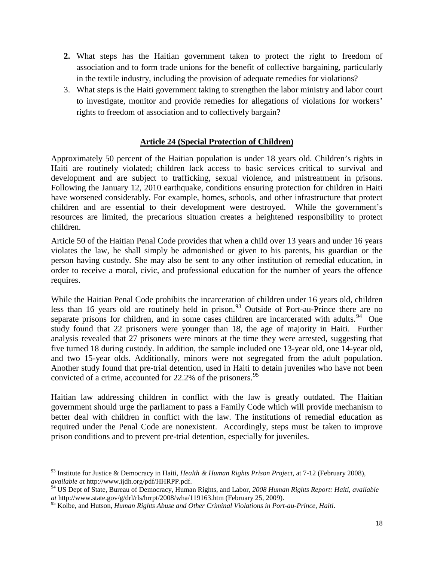- **2.** What steps has the Haitian government taken to protect the right to freedom of association and to form trade unions for the benefit of collective bargaining, particularly in the textile industry, including the provision of adequate remedies for violations?
- 3. What steps is the Haiti government taking to strengthen the labor ministry and labor court to investigate, monitor and provide remedies for allegations of violations for workers' rights to freedom of association and to collectively bargain?

#### **Article 24 (Special Protection of Children)**

Approximately 50 percent of the Haitian population is under 18 years old. Children's rights in Haiti are routinely violated; children lack access to basic services critical to survival and development and are subject to trafficking, sexual violence, and mistreatment in prisons. Following the January 12, 2010 earthquake, conditions ensuring protection for children in Haiti have worsened considerably. For example, homes, schools, and other infrastructure that protect children and are essential to their development were destroyed. While the government's resources are limited, the precarious situation creates a heightened responsibility to protect children.

Article 50 of the Haitian Penal Code provides that when a child over 13 years and under 16 years violates the law, he shall simply be admonished or given to his parents, his guardian or the person having custody. She may also be sent to any other institution of remedial education, in order to receive a moral, civic, and professional education for the number of years the offence requires.

While the Haitian Penal Code prohibits the incarceration of children under 16 years old, children less than 16 years old are routinely held in prison.<sup>[93](#page-16-0)</sup> Outside of Port-au-Prince there are no separate prisons for children, and in some cases children are incarcerated with adults.<sup>94</sup> One study found that 22 prisoners were younger than 18, the age of majority in Haiti. Further analysis revealed that 27 prisoners were minors at the time they were arrested, suggesting that five turned 18 during custody. In addition, the sample included one 13-year old, one 14-year old, and two 15-year olds. Additionally, minors were not segregated from the adult population. Another study found that pre-trial detention, used in Haiti to detain juveniles who have not been convicted of a crime, accounted for 22.2% of the prisoners.<sup>[95](#page-17-1)</sup>

Haitian law addressing children in conflict with the law is greatly outdated. The Haitian government should urge the parliament to pass a Family Code which will provide mechanism to better deal with children in conflict with the law. The institutions of remedial education as required under the Penal Code are nonexistent. Accordingly, steps must be taken to improve prison conditions and to prevent pre-trial detention, especially for juveniles.

<span id="page-17-2"></span> <sup>93</sup> Institute for Justice & Democracy in Haiti, *Health & Human Rights Prison Project*, at 7-12 (February 2008), *available at* http://www.ijdh.org/pdf/HHRPP.pdf.

<span id="page-17-0"></span><sup>94</sup> US Dept of State, Bureau of Democracy, Human Rights, and Labor, *2008 Human Rights Report: Haiti*, *available at* http://www.state.gov/g/drl/rls/hrrpt/2008/wha/119163.htm (February 25, 2009).

<span id="page-17-1"></span><sup>95</sup> Kolbe, and Hutson, *Human Rights Abuse and Other Criminal Violations in Port-au-Prince, Haiti*.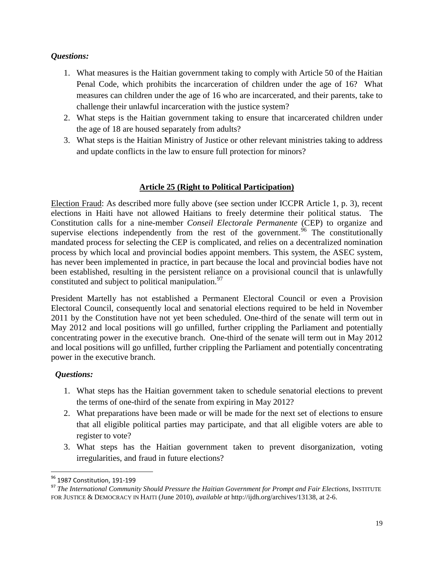## *Questions:*

- 1. What measures is the Haitian government taking to comply with Article 50 of the Haitian Penal Code, which prohibits the incarceration of children under the age of 16? What measures can children under the age of 16 who are incarcerated, and their parents, take to challenge their unlawful incarceration with the justice system?
- 2. What steps is the Haitian government taking to ensure that incarcerated children under the age of 18 are housed separately from adults?
- 3. What steps is the Haitian Ministry of Justice or other relevant ministries taking to address and update conflicts in the law to ensure full protection for minors?

# **Article 25 (Right to Political Participation)**

Election Fraud: As described more fully above (see section under ICCPR Article 1, p. 3), recent elections in Haiti have not allowed Haitians to freely determine their political status. The Constitution calls for a nine-member *Conseil Electorale Permanente* (CEP) to organize and supervise elections independently from the rest of the government.<sup>[96](#page-17-2)</sup> The constitutionally mandated process for selecting the CEP is complicated, and relies on a decentralized nomination process by which local and provincial bodies appoint members. This system, the ASEC system, has never been implemented in practice, in part because the local and provincial bodies have not been established, resulting in the persistent reliance on a provisional council that is unlawfully constituted and subject to political manipulation.<sup>[97](#page-18-0)</sup>

President Martelly has not established a Permanent Electoral Council or even a Provision Electoral Council, consequently local and senatorial elections required to be held in November 2011 by the Constitution have not yet been scheduled. One-third of the senate will term out in May 2012 and local positions will go unfilled, further crippling the Parliament and potentially concentrating power in the executive branch. One-third of the senate will term out in May 2012 and local positions will go unfilled, further crippling the Parliament and potentially concentrating power in the executive branch.

- 1. What steps has the Haitian government taken to schedule senatorial elections to prevent the terms of one-third of the senate from expiring in May 2012?
- 2. What preparations have been made or will be made for the next set of elections to ensure that all eligible political parties may participate, and that all eligible voters are able to register to vote?
- 3. What steps has the Haitian government taken to prevent disorganization, voting irregularities, and fraud in future elections?

<span id="page-18-0"></span><sup>&</sup>lt;sup>96</sup> 1987 Constitution, 191-199<br><sup>97</sup> *The International Community Should Pressure the Haitian Government for Prompt and Fair Elections*, INSTITUTE FOR JUSTICE & DEMOCRACY IN HAITI (June 2010), *available at* http://ijdh.org/archives/13138, at 2-6.